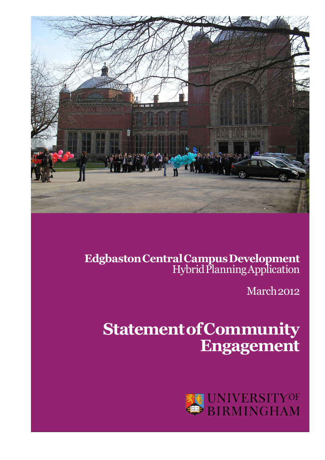

# **Edgbaston Central Campus Development** Hybrid Planning Application

March 2012

# **Statement of Community Engagement**

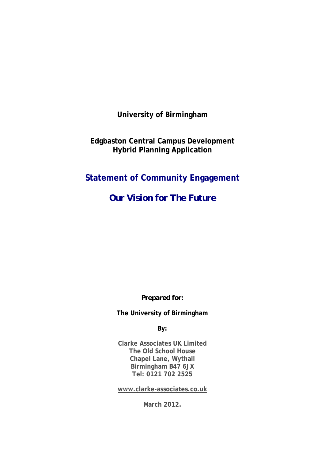**University of Birmingham** 

**Edgbaston Central Campus Development Hybrid Planning Application** 

# **Statement of Community Engagement**

# *Our Vision for The Future*

*Prepared for:* 

**The University of Birmingham** 

**By:** 

**Clarke Associates UK Limited The Old School House Chapel Lane, Wythall Birmingham B47 6JX Tel: 0121 702 2525** 

**www.clarke-associates.co.uk** 

**March 2012.**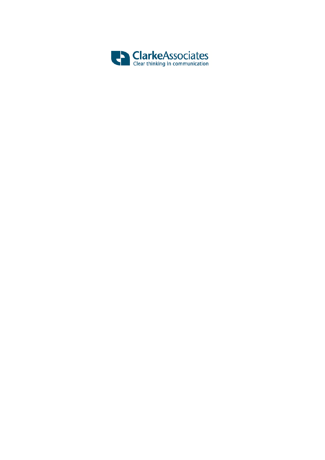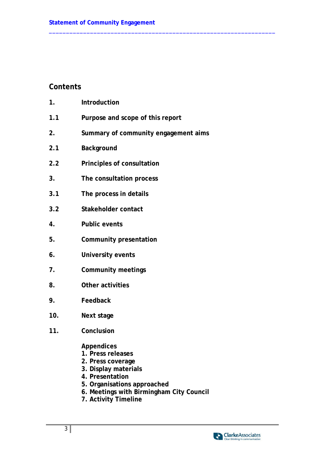\_\_\_\_\_\_\_\_\_\_\_\_\_\_\_\_\_\_\_\_\_\_\_\_\_\_\_\_\_\_\_\_\_\_\_\_\_\_\_\_\_\_\_\_\_\_\_\_\_\_\_\_\_\_\_\_\_\_\_\_\_\_\_\_\_\_

# **Contents**

- **1. Introduction 1.1 Purpose and scope of this report 2. Summary of community engagement aims 2.1 Background 2.2 Principles of consultation 3. The consultation process 3.1 The process in details 3.2 Stakeholder contact 4. Public events 5. Community presentation 6. University events 7. Community meetings 8. Other activities 9. Feedback 10. 11. Next stage Conclusion Appendices 1. Press releases 2. Press coverage 3. Display materials 4. Presentation** 
	- **5. Organisations approached**
	- **6. Meetings with Birmingham City Council**
	- **7. Activity Timeline**

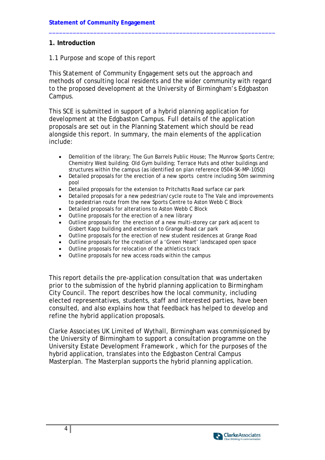# **1. Introduction**

# 1.1 Purpose and scope of this report

This Statement of Community Engagement sets out the approach and methods of consulting local residents and the wider community with regard to the proposed development at the University of Birmingham's Edgbaston Campus.

\_\_\_\_\_\_\_\_\_\_\_\_\_\_\_\_\_\_\_\_\_\_\_\_\_\_\_\_\_\_\_\_\_\_\_\_\_\_\_\_\_\_\_\_\_\_\_\_\_\_\_\_\_\_\_\_\_\_\_\_\_\_\_\_\_\_

This SCE is submitted in support of a hybrid planning application for development at the Edgbaston Campus. Full details of the application proposals are set out in the Planning Statement which should be read alongside this report. In summary, the main elements of the application include:

- Demolition of the library; The Gun Barrels Public House; The Munrow Sports Centre; Chemistry West building; Old Gym building; Terrace Huts and other buildings and structures within the campus (as identified on plan reference 0504-SK-MP-105Q)
- Detailed proposals for the erection of a new sports centre including 50m swimming pool
- 
- Detailed proposals for the extension to Pritchatts Road surface car park<br>• Detailed proposals for a new pedestrian/cvcle route to The Vale and imr Detailed proposals for a new pedestrian/cycle route to The Vale and improvements to pedestrian route from the new Sports Centre to Aston Webb C Block
- Detailed proposals for alterations to Aston Webb C Block
- Outline proposals for the erection of a new library
- Outline proposals for the erection of a new multi-storey car park adjacent to Gisbert Kapp building and extension to Grange Road car park
- Outline proposals for the erection of new student residences at Grange Road
- Outline proposals for the creation of a 'Green Heart' landscaped open space
- Outline proposals for relocation of the athletics track
- Outline proposals for new access roads within the campus

This report details the pre-application consultation that was undertaken prior to the submission of the hybrid planning application to Birmingham City Council. The report describes how the local community, including elected representatives, students, staff and interested parties, have been consulted, and also explains how that feedback has helped to develop and refine the hybrid application proposals.

Clarke Associates UK Limited of Wythall, Birmingham was commissioned by the University of Birmingham to support a consultation programme on the University Estate Development Framework , which for the purposes of the hybrid application, translates into the Edgbaston Central Campus Masterplan. The Masterplan supports the hybrid planning application.

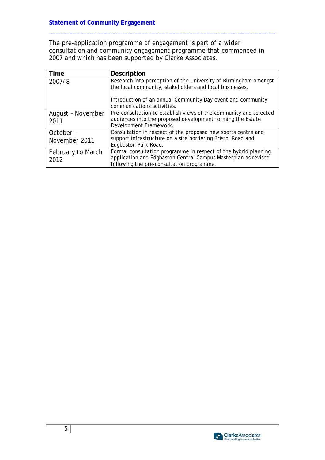The pre-application programme of engagement is part of a wider consultation and community engagement programme that commenced in 2007 and which has been supported by Clarke Associates.

| Time                       | Description                                                                                                                                                                    |
|----------------------------|--------------------------------------------------------------------------------------------------------------------------------------------------------------------------------|
| 2007/8                     | Research into perception of the University of Birmingham amongst<br>the local community, stakeholders and local businesses.                                                    |
|                            | Introduction of an annual Community Day event and community<br>communications activities.                                                                                      |
| August - November<br>2011  | Pre-consultation to establish views of the community and selected<br>audiences into the proposed development forming the Estate<br>Development Framework.                      |
| October -<br>November 2011 | Consultation in respect of the proposed new sports centre and<br>support infrastructure on a site bordering Bristol Road and<br>Edgbaston Park Road.                           |
| February to March<br>2012  | Formal consultation programme in respect of the hybrid planning<br>application and Edgbaston Central Campus Masterplan as revised<br>following the pre-consultation programme. |

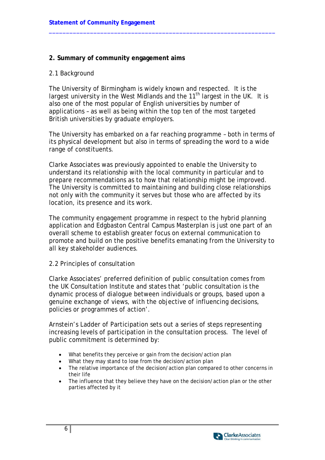# **2. Summary of community engagement aims**

# 2.1 Background

The University of Birmingham is widely known and respected. It is the largest university in the West Midlands and the  $11<sup>th</sup>$  largest in the UK. It is also one of the most popular of English universities by number of applications – as well as being within the top ten of the most targeted British universities by graduate employers.

\_\_\_\_\_\_\_\_\_\_\_\_\_\_\_\_\_\_\_\_\_\_\_\_\_\_\_\_\_\_\_\_\_\_\_\_\_\_\_\_\_\_\_\_\_\_\_\_\_\_\_\_\_\_\_\_\_\_\_\_\_\_\_\_\_\_

The University has embarked on a far reaching programme – both in terms of its physical development but also in terms of spreading the word to a wide range of constituents.

Clarke Associates was previously appointed to enable the University to understand its relationship with the local community in particular and to prepare recommendations as to how that relationship might be improved. The University is committed to maintaining and building close relationships not only with the community it serves but those who are affected by its location, its presence and its work.

The community engagement programme in respect to the hybrid planning application and Edgbaston Central Campus Masterplan is just one part of an overall scheme to establish greater focus on external communication to promote and build on the positive benefits emanating from the University to all key stakeholder audiences.

#### 2.2 Principles of consultation

Clarke Associates' preferred definition of public consultation comes from the UK Consultation Institute and states that 'public consultation is the dynamic process of dialogue between individuals or groups, based upon a genuine exchange of views, with the objective of influencing decisions, policies or programmes of action'.

Arnstein's Ladder of Participation sets out a series of steps representing increasing levels of participation in the consultation process. The level of public commitment is determined by:

- What benefits they perceive or gain from the decision/action plan
- What they may stand to lose from the decision/action plan
- The relative importance of the decision/action plan compared to other concerns in their life
- The influence that they believe they have on the decision/action plan or the other parties affected by it

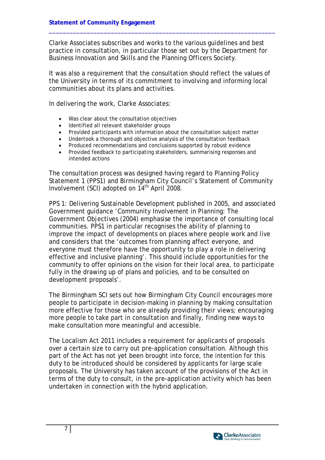Clarke Associates subscribes and works to the various guidelines and best practice in consultation, in particular those set out by the Department for Business Innovation and Skills and the Planning Officers Society.

\_\_\_\_\_\_\_\_\_\_\_\_\_\_\_\_\_\_\_\_\_\_\_\_\_\_\_\_\_\_\_\_\_\_\_\_\_\_\_\_\_\_\_\_\_\_\_\_\_\_\_\_\_\_\_\_\_\_\_\_\_\_\_\_\_\_

It was also a requirement that the consultation should reflect the values of the University in terms of its commitment to involving and informing local communities about its plans and activities.

In delivering the work, Clarke Associates:

- Was clear about the consultation objectives<br>• Identified all relevant stakeholder groups
- Identified all relevant stakeholder groups
- Provided participants with information about the consultation subject matter
- Undertook a thorough and objective analysis of the consultation feedback
- Produced recommendations and conclusions supported by robust evidence
- Provided feedback to participating stakeholders, summarising responses and intended actions

The consultation process was designed having regard to Planning Policy Statement 1 (PPS1) and Birmingham City Council's Statement of Community Involvement (SCI) adopted on 14<sup>th</sup> April 2008.

PPS 1: Delivering Sustainable Development published in 2005, and associated Government guidance 'Community Involvement in Planning: The Government Objectives (2004) emphasise the importance of consulting local communities. PPS1 in particular recognises the ability of planning to improve the impact of developments on places where people work and live and considers that the 'outcomes from planning affect everyone, and everyone must therefore have the opportunity to play a role in delivering effective and inclusive planning'. This should include opportunities for the community to offer opinions on the vision for their local area, to participate fully in the drawing up of plans and policies, and to be consulted on development proposals'.

The Birmingham SCI sets out how Birmingham City Council encourages more people to participate in decision-making in planning by making consultation more effective for those who are already providing their views; encouraging more people to take part in consultation and finally, finding new ways to make consultation more meaningful and accessible.

The Localism Act 2011 includes a requirement for applicants of proposals over a certain size to carry out pre-application consultation. Although this part of the Act has not yet been brought into force, the intention for this duty to be introduced should be considered by applicants for large scale proposals. The University has taken account of the provisions of the Act in terms of the duty to consult, in the pre-application activity which has been undertaken in connection with the hybrid application.

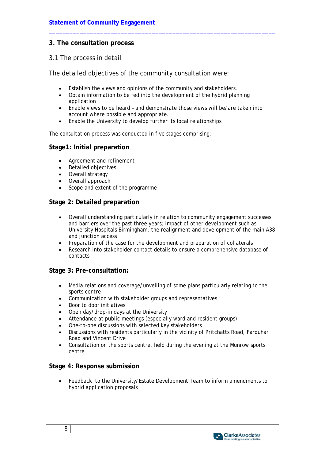# **3. The consultation process**

### 3.1 The process in detail

The detailed objectives of the community consultation were:

- Establish the views and opinions of the community and stakeholders.
- Obtain information to be fed into the development of the hybrid planning application
- Enable views to be heard and demonstrate those views will be/are taken into account where possible and appropriate.

\_\_\_\_\_\_\_\_\_\_\_\_\_\_\_\_\_\_\_\_\_\_\_\_\_\_\_\_\_\_\_\_\_\_\_\_\_\_\_\_\_\_\_\_\_\_\_\_\_\_\_\_\_\_\_\_\_\_\_\_\_\_\_\_\_\_

Enable the University to develop further its local relationships

The consultation process was conducted in five stages comprising:

### **Stage1: Initial preparation**

- Agreement and refinement
- Detailed objectives
- Overall strategy
- Overall approach
- Scope and extent of the programme

### **Stage 2: Detailed preparation**

- Overall understanding particularly in relation to community engagement successes and barriers over the past three years; impact of other development such as University Hospitals Birmingham, the realignment and development of the main A38 and junction access
- Preparation of the case for the development and preparation of collaterals
- Research into stakeholder contact details to ensure a comprehensive database of contacts

#### **Stage 3: Pre-consultation:**

- Media relations and coverage/unveiling of some plans particularly relating to the sports centre
- Communication with stakeholder groups and representatives
- Door to door initiatives
- Open day/drop-in days at the University
- Attendance at public meetings (especially ward and resident groups)
- One-to-one discussions with selected key stakeholders
- Discussions with residents particularly in the vicinity of Pritchatts Road, Farquhar Road and Vincent Drive
- Consultation on the sports centre, held during the evening at the Munrow sports centre

#### **Stage 4: Response submission**

 Feedback to the University/Estate Development Team to inform amendments to hybrid application proposals

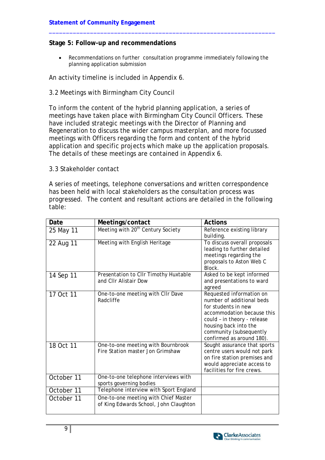# **Stage 5: Follow-up and recommendations**

 Recommendations on further consultation programme immediately following the planning application submission

\_\_\_\_\_\_\_\_\_\_\_\_\_\_\_\_\_\_\_\_\_\_\_\_\_\_\_\_\_\_\_\_\_\_\_\_\_\_\_\_\_\_\_\_\_\_\_\_\_\_\_\_\_\_\_\_\_\_\_\_\_\_\_\_\_\_

An activity timeline is included in Appendix 6.

# 3.2 Meetings with Birmingham City Council

To inform the content of the hybrid planning application, a series of meetings have taken place with Birmingham City Council Officers. These have included strategic meetings with the Director of Planning and Regeneration to discuss the wider campus masterplan, and more focussed meetings with Officers regarding the form and content of the hybrid application and specific projects which make up the application proposals. The details of these meetings are contained in Appendix 6.

# 3.3 Stakeholder contact

A series of meetings, telephone conversations and written correspondence has been held with local stakeholders as the consultation process was progressed. The content and resultant actions are detailed in the following table:

| Date       | Meetings/contact                                                               | <b>Actions</b>                                                                                                                                                                                                             |
|------------|--------------------------------------------------------------------------------|----------------------------------------------------------------------------------------------------------------------------------------------------------------------------------------------------------------------------|
| 25 May 11  | Meeting with 20 <sup>th</sup> Century Society                                  | Reference existing library<br>building.                                                                                                                                                                                    |
| 22 Aug 11  | Meeting with English Heritage                                                  | To discuss overall proposals<br>leading to further detailed<br>meetings regarding the<br>proposals to Aston Web C<br>Block.                                                                                                |
| 14 Sep 11  | Presentation to CIIr Timothy Huxtable<br>and CIIr Alistair Dow                 | Asked to be kept informed<br>and presentations to ward<br>agreed                                                                                                                                                           |
| 17 Oct 11  | One-to-one meeting with CIIr Dave<br>Radcliffe                                 | Requested information on<br>number of additional beds<br>for students in new<br>accommodation because this<br>could - in theory - release<br>housing back into the<br>community (subsequently<br>confirmed as around 180). |
| 18 Oct 11  | One-to-one meeting with Bournbrook<br>Fire Station master Jon Grimshaw         | Sought assurance that sports<br>centre users would not park<br>on fire station premises and<br>would appreciate access to<br>facilities for fire crews.                                                                    |
| October 11 | One-to-one telephone interviews with<br>sports governing bodies                |                                                                                                                                                                                                                            |
| October 11 | Telephone interview with Sport England                                         |                                                                                                                                                                                                                            |
| October 11 | One-to-one meeting with Chief Master<br>of King Edwards School, John Claughton |                                                                                                                                                                                                                            |

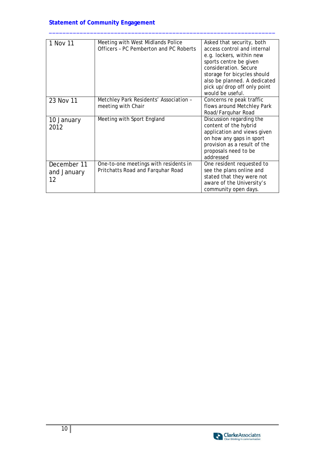| 1 Nov 11                         | Meeting with West Midlands Police<br>Officers - PC Pemberton and PC Roberts | Asked that security, both<br>access control and internal<br>e.g. lockers, within new<br>sports centre be given<br>consideration. Secure<br>storage for bicycles should<br>also be planned. A dedicated<br>pick up/drop off only point<br>would be useful. |
|----------------------------------|-----------------------------------------------------------------------------|-----------------------------------------------------------------------------------------------------------------------------------------------------------------------------------------------------------------------------------------------------------|
| 23 Nov 11                        | Metchley Park Residents' Association -<br>meeting with Chair                | Concerns re peak traffic<br>flows around Metchley Park<br>Road/Farquhar Road                                                                                                                                                                              |
| 10 January<br>2012               | Meeting with Sport England                                                  | Discussion regarding the<br>content of the hybrid<br>application and views given<br>on how any gaps in sport<br>provision as a result of the<br>proposals need to be<br>addressed                                                                         |
| December 11<br>and January<br>12 | One-to-one meetings with residents in<br>Pritchatts Road and Farquhar Road  | One resident requested to<br>see the plans online and<br>stated that they were not<br>aware of the University's<br>community open days.                                                                                                                   |

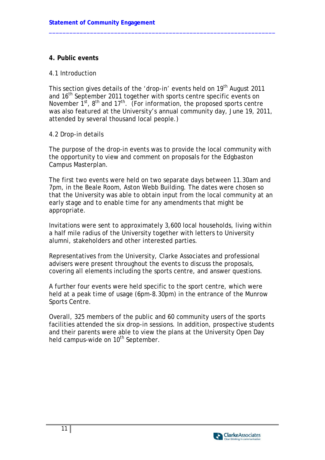# **4. Public events**

# 4.1 Introduction

This section gives details of the 'drop-in' events held on 19<sup>th</sup> August 2011 and 16<sup>th</sup> September 2011 together with sports centre specific events on November 1<sup>st</sup>, 8<sup>th</sup> and 17<sup>th</sup>. (For information, the proposed sports centre was also featured at the University's annual community day, June 19, 2011, attended by several thousand local people.)

\_\_\_\_\_\_\_\_\_\_\_\_\_\_\_\_\_\_\_\_\_\_\_\_\_\_\_\_\_\_\_\_\_\_\_\_\_\_\_\_\_\_\_\_\_\_\_\_\_\_\_\_\_\_\_\_\_\_\_\_\_\_\_\_\_\_

# 4.2 Drop-in details

The purpose of the drop-in events was to provide the local community with the opportunity to view and comment on proposals for the Edgbaston Campus Masterplan.

The first two events were held on two separate days between 11.30am and 7pm, in the Beale Room, Aston Webb Building. The dates were chosen so that the University was able to obtain input from the local community at an early stage and to enable time for any amendments that might be appropriate.

Invitations were sent to approximately 3,600 local households, living within a half mile radius of the University together with letters to University alumni, stakeholders and other interested parties.

Representatives from the University, Clarke Associates and professional advisers were present throughout the events to discuss the proposals, covering all elements including the sports centre, and answer questions.

A further four events were held specific to the sport centre, which were held at a peak time of usage (6pm-8.30pm) in the entrance of the Munrow Sports Centre.

Overall, 325 members of the public and 60 community users of the sports facilities attended the six drop-in sessions. In addition, prospective students and their parents were able to view the plans at the University Open Day held campus-wide on 10<sup>th</sup> September.

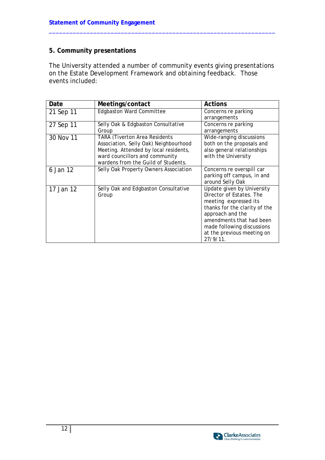# **5. Community presentations**

The University attended a number of community events giving presentations on the Estate Development Framework and obtaining feedback. Those events included:

| Date      | Meetings/contact                      | <b>Actions</b>                |
|-----------|---------------------------------------|-------------------------------|
| 21 Sep 11 | <b>Edgbaston Ward Committee</b>       | Concerns re parking           |
|           |                                       | arrangements                  |
| 27 Sep 11 | Selly Oak & Edgbaston Consultative    | Concerns re parking           |
|           | Group                                 | arrangements                  |
| 30 Nov 11 | <b>TARA (Tiverton Area Residents</b>  | Wide-ranging discussions      |
|           | Association, Selly Oak) Neighbourhood | both on the proposals and     |
|           | Meeting. Attended by local residents, | also general relationships    |
|           | ward councillors and community        | with the University           |
|           | wardens from the Guild of Students.   |                               |
| 6 Jan 12  | Selly Oak Property Owners Association | Concerns re overspill car     |
|           |                                       | parking off campus, in and    |
|           |                                       | around Selly Oak              |
| 17 Jan 12 | Selly Oak and Edgbaston Consultative  | Update given by University    |
|           | Group                                 | Director of Estates. The      |
|           |                                       | meeting expressed its         |
|           |                                       | thanks for the clarity of the |
|           |                                       | approach and the              |
|           |                                       | amendments that had been      |
|           |                                       | made following discussions    |
|           |                                       | at the previous meeting on    |
|           |                                       | $27/9/11$ .                   |

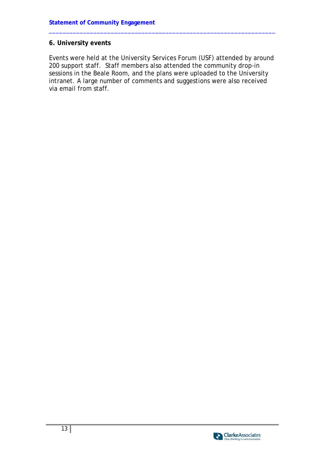# **6. University events**

Events were held at the University Services Forum (USF) attended by around 200 support staff. Staff members also attended the community drop-in sessions in the Beale Room, and the plans were uploaded to the University intranet. A large number of comments and suggestions were also received via email from staff.

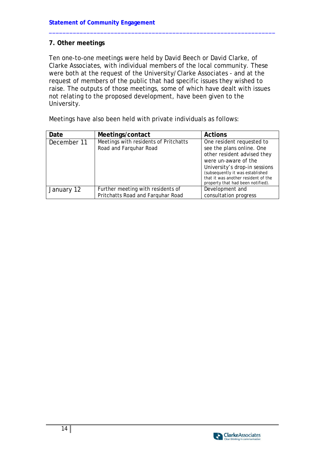# **7. Other meetings**

Ten one-to-one meetings were held by David Beech or David Clarke, of Clarke Associates, with individual members of the local community. These were both at the request of the University/Clarke Associates - and at the request of members of the public that had specific issues they wished to raise. The outputs of those meetings, some of which have dealt with issues not relating to the proposed development, have been given to the University.

\_\_\_\_\_\_\_\_\_\_\_\_\_\_\_\_\_\_\_\_\_\_\_\_\_\_\_\_\_\_\_\_\_\_\_\_\_\_\_\_\_\_\_\_\_\_\_\_\_\_\_\_\_\_\_\_\_\_\_\_\_\_\_\_\_\_

Meetings have also been held with private individuals as follows:

| Date        | Meetings/contact                                                | <b>Actions</b>                                                                                                                                                                                                                                                 |
|-------------|-----------------------------------------------------------------|----------------------------------------------------------------------------------------------------------------------------------------------------------------------------------------------------------------------------------------------------------------|
| December 11 | Meetings with residents of Pritchatts<br>Road and Farquhar Road | One resident requested to<br>see the plans online. One<br>other resident advised they<br>were un-aware of the<br>University's drop-in sessions<br>(subsequently it was established<br>that it was another resident of the<br>property that had been notified). |
| January 12  | Further meeting with residents of                               | Development and                                                                                                                                                                                                                                                |
|             | Pritchatts Road and Farquhar Road                               | consultation progress                                                                                                                                                                                                                                          |

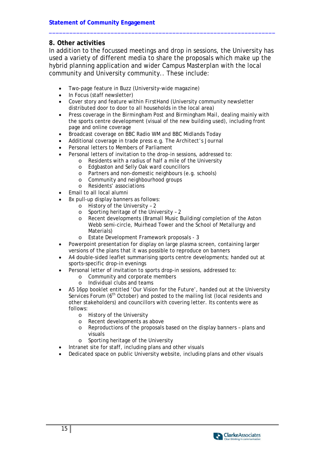# **8. Other activities**

In addition to the focussed meetings and drop in sessions, the University has used a variety of different media to share the proposals which make up the hybrid planning application and wider Campus Masterplan with the local community and University community.. These include:

- Two-page feature in Buzz (University-wide magazine)
- In Focus (staff newsletter)
- Cover story and feature within *FirstHand* (University community newsletter distributed door to door to all households in the local area)
- Press coverage in the *Birmingham Post* and *Birmingham Mail*, dealing mainly with the sports centre development (visual of the new building used), including front page and online coverage
- Broadcast coverage on BBC Radio WM and BBC Midlands Today
- Additional coverage in trade press e.g. *The Architect's Journal*
- Personal letters to Members of Parliament
- Personal letters of invitation to the drop-in sessions, addressed to:
	- o Residents with a radius of half a mile of the University
	- o Edgbaston and Selly Oak ward councillors
	- o Partners and non-domestic neighbours (e.g. schools)
	- o Community and neighbourhood groups
	- o Residents' associations
- Email to all local alumni
- 8x pull-up display banners as follows:
	- o History of the University 2
	- o Sporting heritage of the University 2
	- o Recent developments (Bramall Music Building/completion of the Aston Webb semi-circle, Muirhead Tower and the School of Metallurgy and Materials)
	- o Estate Development Framework proposals 3
- Powerpoint presentation for display on large plasma screen, containing larger versions of the plans that it was possible to reproduce on banners
- A4 double-sided leaflet summarising sports centre developments; handed out at sports-specific drop-in evenings
- Personal letter of invitation to sports drop-in sessions, addressed to:
	- o Community and corporate members
	- o Individual clubs and teams
- A5 16pp booklet entitled 'Our Vision for the Future', handed out at the University Services Forum (6<sup>th</sup> October) and posted to the mailing list (local residents and other stakeholders) and councillors with covering letter. Its contents were as follows:
	- o History of the University
	- o Recent developments as above
	- o Reproductions of the proposals based on the display banners plans and visuals
	- o Sporting heritage of the University
- Intranet site for staff, including plans and other visuals
- Dedicated space on public University website, including plans and other visuals

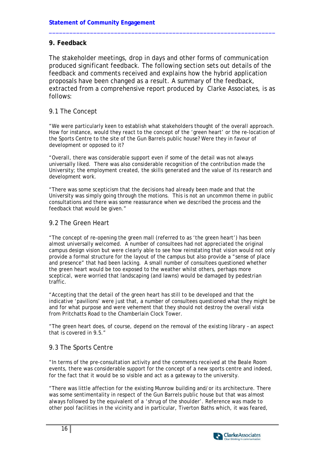# **9. Feedback**

The stakeholder meetings, drop in days and other forms of communication produced significant feedback. The following section sets out details of the feedback and comments received and explains how the hybrid application proposals have been changed as a result. A summary of the feedback, extracted from a comprehensive report produced by Clarke Associates, is as follows:

\_\_\_\_\_\_\_\_\_\_\_\_\_\_\_\_\_\_\_\_\_\_\_\_\_\_\_\_\_\_\_\_\_\_\_\_\_\_\_\_\_\_\_\_\_\_\_\_\_\_\_\_\_\_\_\_\_\_\_\_\_\_\_\_\_\_

# 9.1 The Concept

"We were particularly keen to establish what stakeholders thought of the overall approach. How for instance, would they react to the concept of the 'green heart' or the re-location of the Sports Centre to the site of the Gun Barrels public house? Were they in favour of development or opposed to it?

"Overall, there was considerable support even if some of the detail was not always universally liked. There was also considerable recognition of the contribution made the University; the employment created, the skills generated and the value of its research and development work.

"There was some scepticism that the decisions had already been made and that the University was simply going through the motions. This is not an uncommon theme in public consultations and there was some reassurance when we described the process and the feedback that would be given."

#### 9.2 The Green Heart

"The concept of re-opening the green mall (referred to as 'the green heart') has been almost universally welcomed. A number of consultees had not appreciated the original campus design vision but were clearly able to see how reinstating that vision would not only provide a formal structure for the layout of the campus but also provide a "sense of place and presence" that had been lacking. A small number of consultees questioned whether the green heart would be too exposed to the weather whilst others, perhaps more sceptical, were worried that landscaping (and lawns) would be damaged by pedestrian traffic.

"Accepting that the detail of the green heart has still to be developed and that the indicative 'pavilions' were just that, a number of consultees questioned what they might be and for what purpose and were vehement that they should not destroy the overall vista from Pritchatts Road to the Chamberlain Clock Tower.

"The green heart does, of course, depend on the removal of the existing library – an aspect that is covered in 9.5."

#### 9.3 The Sports Centre

"In terms of the pre-consultation activity and the comments received at the Beale Room events, there was considerable support for the concept of a new sports centre and indeed, for the fact that it would be so visible and act as a gateway to the university.

"There was little affection for the existing Munrow building and/or its architecture. There was some sentimentality in respect of the Gun Barrels public house but that was almost always followed by the equivalent of a 'shrug of the shoulder'. Reference was made to other pool facilities in the vicinity and in particular, Tiverton Baths which, it was feared,

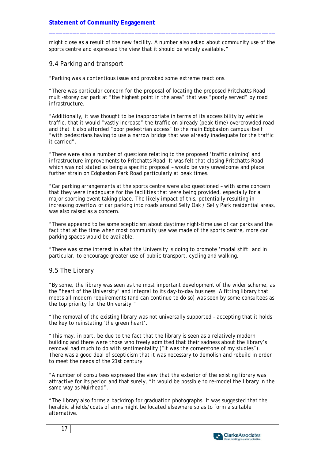might close as a result of the new facility. A number also asked about community use of the sports centre and expressed the view that it should be widely available."

\_\_\_\_\_\_\_\_\_\_\_\_\_\_\_\_\_\_\_\_\_\_\_\_\_\_\_\_\_\_\_\_\_\_\_\_\_\_\_\_\_\_\_\_\_\_\_\_\_\_\_\_\_\_\_\_\_\_\_\_\_\_\_\_\_\_

# 9.4 Parking and transport

"Parking was a contentious issue and provoked some extreme reactions.

"There was particular concern for the proposal of locating the proposed Pritchatts Road multi-storey car park at "the highest point in the area" that was "poorly served" by road infrastructure.

"Additionally, it was thought to be inappropriate in terms of its accessibility by vehicle traffic, that it would "vastly increase" the traffic on already (peak-time) overcrowded road and that it also afforded "poor pedestrian access" to the main Edgbaston campus itself "with pedestrians having to use a narrow bridge that was already inadequate for the traffic it carried".

"There were also a number of questions relating to the proposed 'traffic calming' and infrastructure improvements to Pritchatts Road. It was felt that closing Pritchatts Road – which was not stated as being a specific proposal – would be very unwelcome and place further strain on Edgbaston Park Road particularly at peak times.

"Car parking arrangements at the sports centre were also questioned – with some concern that they were inadequate for the facilities that were being provided, especially for a major sporting event taking place. The likely impact of this, potentially resulting in increasing overflow of car parking into roads around Selly Oak / Selly Park residential areas, was also raised as a concern.

"There appeared to be some scepticism about daytime/night-time use of car parks and the fact that at the time when most community use was made of the sports centre, more car parking spaces would be available.

"There was some interest in what the University is doing to promote 'modal shift' and in particular, to encourage greater use of public transport, cycling and walking.

#### 9.5 The Library

"By some, the library was seen as the most important development of the wider scheme, as the "heart of the University" and integral to its day-to-day business. A fitting library that meets all modern requirements (and can continue to do so) was seen by some consultees as the top priority for the University."

"The removal of the existing library was not universally supported – accepting that it holds the key to reinstating 'the green heart'.

"This may, in part, be due to the fact that the library is seen as a relatively modern building and there were those who freely admitted that their sadness about the library's removal had much to do with sentimentality ("it was the cornerstone of my studies"). There was a good deal of scepticism that it was necessary to demolish and rebuild in order to meet the needs of the 21st century.

"A number of consultees expressed the view that the exterior of the existing library was attractive for its period and that surely, "it would be possible to re-model the library in the same way as Muirhead".

"The library also forms a backdrop for graduation photographs. It was suggested that the heraldic shields/coats of arms might be located elsewhere so as to form a suitable alternative.

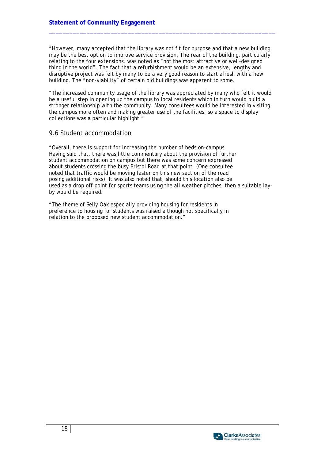"However, many accepted that the library was not fit for purpose and that a new building may be the best option to improve service provision. The rear of the building, particularly relating to the four extensions, was noted as "not the most attractive or well-designed thing in the world". The fact that a refurbishment would be an extensive, lengthy and disruptive project was felt by many to be a very good reason to start afresh with a new building. The "non-viability" of certain old buildings was apparent to some.

\_\_\_\_\_\_\_\_\_\_\_\_\_\_\_\_\_\_\_\_\_\_\_\_\_\_\_\_\_\_\_\_\_\_\_\_\_\_\_\_\_\_\_\_\_\_\_\_\_\_\_\_\_\_\_\_\_\_\_\_\_\_\_\_\_\_

"The increased community usage of the library was appreciated by many who felt it would be a useful step in opening up the campus to local residents which in turn would build a stronger relationship with the community. Many consultees would be interested in visiting the campus more often and making greater use of the facilities, so a space to display collections was a particular highlight."

#### 9.6 Student accommodation

"Overall, there is support for increasing the number of beds on-campus. Having said that, there was little commentary about the provision of further student accommodation on campus but there was some concern expressed about students crossing the busy Bristol Road at that point. (One consultee noted that traffic would be moving faster on this new section of the road posing additional risks). It was also noted that, should this location also be used as a drop off point for sports teams using the all weather pitches, then a suitable layby would be required.

"The theme of Selly Oak especially providing housing for residents in preference to housing for students was raised although not specifically in relation to the proposed new student accommodation."

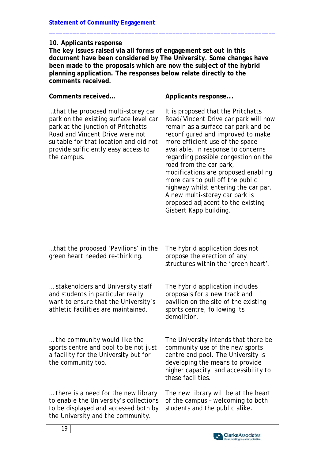# **10. Applicants response**

**The key issues raised via all forms of engagement set out in this document have been considered by The University. Some changes have been made to the proposals which are now the subject of the hybrid planning application. The responses below relate directly to the comments received.** 

| Comments received                                                                                                                                                                                                                                     | Applicants response                                                                                                                                                                                                                                                                                                                                                                                                                                                                                                    |
|-------------------------------------------------------------------------------------------------------------------------------------------------------------------------------------------------------------------------------------------------------|------------------------------------------------------------------------------------------------------------------------------------------------------------------------------------------------------------------------------------------------------------------------------------------------------------------------------------------------------------------------------------------------------------------------------------------------------------------------------------------------------------------------|
| that the proposed multi-storey car<br>park on the existing surface level car<br>park at the junction of Pritchatts<br>Road and Vincent Drive were not<br>suitable for that location and did not<br>provide sufficiently easy access to<br>the campus. | It is proposed that the Pritchatts<br>Road/Vincent Drive car park will now<br>remain as a surface car park and be<br>reconfigured and improved to make<br>more efficient use of the space<br>available. In response to concerns<br>regarding possible congestion on the<br>road from the car park,<br>modifications are proposed enabling<br>more cars to pull off the public<br>highway whilst entering the car par.<br>A new multi-storey car park is<br>proposed adjacent to the existing<br>Gisbert Kapp building. |
| that the proposed 'Pavilions' in the<br>green heart needed re-thinking.                                                                                                                                                                               | The hybrid application does not<br>propose the erection of any<br>structures within the 'green heart'.                                                                                                                                                                                                                                                                                                                                                                                                                 |
| stakeholders and University staff<br>and students in particular really<br>want to ensure that the University's<br>athletic facilities are maintained.                                                                                                 | The hybrid application includes<br>proposals for a new track and<br>pavilion on the site of the existing<br>sports centre, following its<br>demolition.                                                                                                                                                                                                                                                                                                                                                                |
| the community would like the<br>sports centre and pool to be not just<br>a facility for the University but for<br>the community too.                                                                                                                  | The University intends that there be<br>community use of the new sports<br>centre and pool. The University is<br>developing the means to provide<br>higher capacity and accessibility to<br>these facilities.                                                                                                                                                                                                                                                                                                          |
| there is a need for the new library<br>to enable the University's collections<br>to be displayed and accessed both by<br>the University and the community.                                                                                            | The new library will be at the heart<br>of the campus - welcoming to both<br>students and the public alike.                                                                                                                                                                                                                                                                                                                                                                                                            |

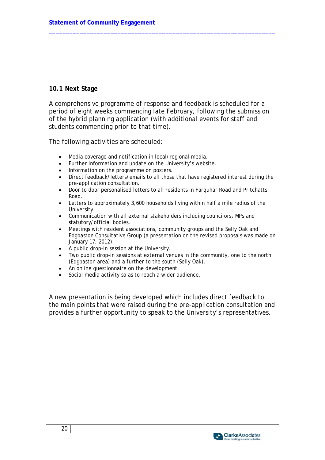# **10.1 Next Stage**

A comprehensive programme of response and feedback is scheduled for a period of eight weeks commencing late February, following the submission of the hybrid planning application (with additional events for staff and students commencing prior to that time).

\_\_\_\_\_\_\_\_\_\_\_\_\_\_\_\_\_\_\_\_\_\_\_\_\_\_\_\_\_\_\_\_\_\_\_\_\_\_\_\_\_\_\_\_\_\_\_\_\_\_\_\_\_\_\_\_\_\_\_\_\_\_\_\_\_\_

The following activities are scheduled:

- Media coverage and notification in local/regional media.
- Further information and update on the University's website.
- Information on the programme on posters.
- Direct feedback/letters/emails to all those that have registered interest during the pre-application consultation.
- Door to door personalised letters to all residents in Farquhar Road and Pritchatts Road.
- Letters to approximately 3,600 households living within half a mile radius of the University.
- Communication with all external stakeholders including councilors**,** MPs and statutory/official bodies.
- Meetings with resident associations, community groups and the Selly Oak and Edgbaston Consultative Group (a presentation on the revised proposals was made on January 17, 2012).
- A public drop-in session at the University.
- Two public drop-in sessions at external venues in the community, one to the north (Edgbaston area) and a further to the south (Selly Oak).
- An online questionnaire on the development.
- Social media activity so as to reach a wider audience.

A new presentation is being developed which includes direct feedback to the main points that were raised during the pre-application consultation and provides a further opportunity to speak to the University's representatives.

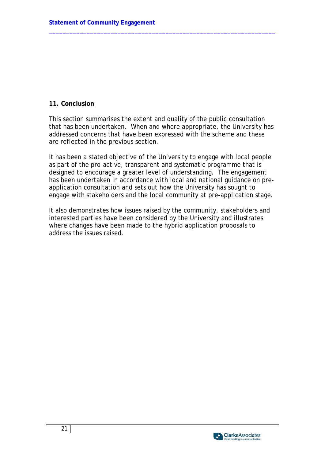# **11. Conclusion**

This section summarises the extent and quality of the public consultation that has been undertaken. When and where appropriate, the University has addressed concerns that have been expressed with the scheme and these are reflected in the previous section.

\_\_\_\_\_\_\_\_\_\_\_\_\_\_\_\_\_\_\_\_\_\_\_\_\_\_\_\_\_\_\_\_\_\_\_\_\_\_\_\_\_\_\_\_\_\_\_\_\_\_\_\_\_\_\_\_\_\_\_\_\_\_\_\_\_\_

It has been a stated objective of the University to engage with local people as part of the pro-active, transparent and systematic programme that is designed to encourage a greater level of understanding. The engagement has been undertaken in accordance with local and national guidance on preapplication consultation and sets out how the University has sought to engage with stakeholders and the local community at pre-application stage.

It also demonstrates how issues raised by the community, stakeholders and interested parties have been considered by the University and illustrates where changes have been made to the hybrid application proposals to address the issues raised.

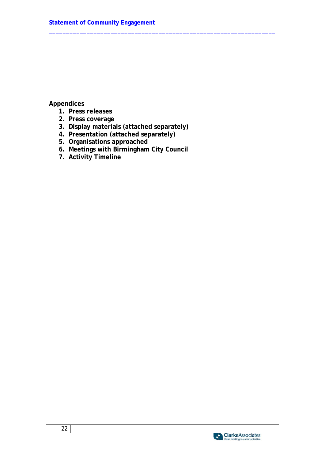# **Appendices**

- **1. Press releases**
- **2. Press coverage**
- **3. Display materials (attached separately)**

- **4. Presentation (attached separately)**
- **5. Organisations approached**
- **6. Meetings with Birmingham City Council**
- **7. Activity Timeline**

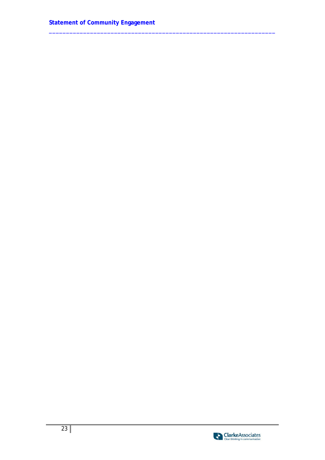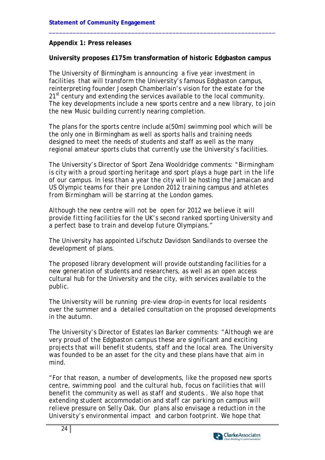# **Appendix 1: Press releases**

# **University proposes £175m transformation of historic Edgbaston campus**

\_\_\_\_\_\_\_\_\_\_\_\_\_\_\_\_\_\_\_\_\_\_\_\_\_\_\_\_\_\_\_\_\_\_\_\_\_\_\_\_\_\_\_\_\_\_\_\_\_\_\_\_\_\_\_\_\_\_\_\_\_\_\_\_\_\_

The University of Birmingham is announcing a five year investment in facilities that will transform the University's famous Edgbaston campus, reinterpreting founder Joseph Chamberlain's vision for the estate for the  $21<sup>st</sup>$  century and extending the services available to the local community. The key developments include a new sports centre and a new library, to join the new Music building currently nearing completion.

The plans for the sports centre include a(50m) swimming pool which will be the only one in Birmingham as well as sports halls and training needs designed to meet the needs of students and staff as well as the many regional amateur sports clubs that currently use the University's facilities.

The University's Director of Sport Zena Wooldridge comments: "*Birmingham is city with a proud sporting heritage and sport plays a huge part in the life of our campus. In less than a year the city will be hosting the Jamaican and US Olympic teams for their pre London 2012 training campus and athletes from Birmingham will be starring at the London games.* 

*Although the new centre will not be open for 2012 we believe it will provide fitting facilities for the UK's second ranked sporting University and a perfect base to train and develop future Olympians."* 

The University has appointed Lifschutz Davidson Sandilands to oversee the development of plans.

The proposed library development will provide outstanding facilities for a new generation of students and researchers, as well as an open access cultural hub for the University and the city, with services available to the public.

The University will be running pre-view drop-in events for local residents over the summer and a detailed consultation on the proposed developments in the autumn.

The University's Director of Estates Ian Barker comments: *"Although we are very proud of the Edgbaston campus these are significant and exciting projects that will benefit students, staff and the local area. The University was founded to be an asset for the city and these plans have that aim in mind.* 

*"For that reason, a number of developments, like the proposed new sports centre, swimming pool and the cultural hub, focus on facilities that will benefit the community as well as staff and students.. We also hope that extending student accommodation and staff car parking on campus will relieve pressure on Selly Oak. Our plans also envisage a reduction in the University's environmental impact and carbon footprint. We hope that* 

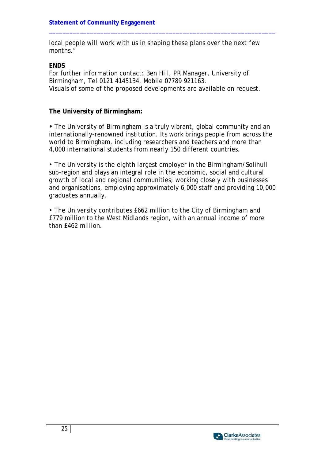*local people will work with us in shaping these plans over the next few months."* 

\_\_\_\_\_\_\_\_\_\_\_\_\_\_\_\_\_\_\_\_\_\_\_\_\_\_\_\_\_\_\_\_\_\_\_\_\_\_\_\_\_\_\_\_\_\_\_\_\_\_\_\_\_\_\_\_\_\_\_\_\_\_\_\_\_\_

# **ENDS**

For further information contact: Ben Hill, PR Manager, University of Birmingham, Tel 0121 4145134, Mobile 07789 921163. Visuals of some of the proposed developments are available on request.

### **The University of Birmingham:**

**•** The University of Birmingham is a truly vibrant, global community and an internationally-renowned institution. Its work brings people from across the world to Birmingham, including researchers and teachers and more than 4,000 international students from nearly 150 different countries.

• The University is the eighth largest employer in the Birmingham/Solihull sub-region and plays an integral role in the economic, social and cultural growth of local and regional communities; working closely with businesses and organisations, employing approximately 6,000 staff and providing 10,000 graduates annually.

• The University contributes £662 million to the City of Birmingham and £779 million to the West Midlands region, with an annual income of more than £462 million.

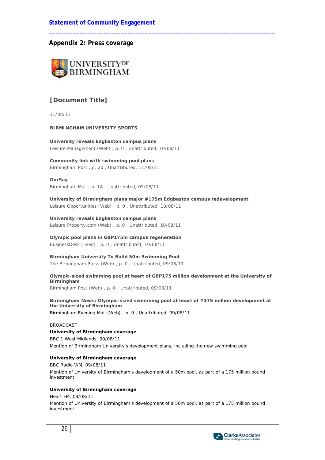#### **Appendix 2: Press coverage**



### **[Document Title]**

11/08/11

#### **BIRMINGHAM UNIVERSITY SPORTS**

**University reveals Edgbaston campus plans** *Leisure Management (Web) , p. 0 , Unattributed, 10/08/11*

#### **Community link with swimming pool plans**

*Birmingham Post , p. 20 , Unattributed, 11/08/11*

#### **OurSay**

*Birmingham Mail , p. 14 , Unattributed, 09/08/11*

**University of Birmingham plans major #175m Edgbaston campus redevelopment** *Leisure Opportunities (Web) , p. 0 , Unattributed, 10/08/11*

\_\_\_\_\_\_\_\_\_\_\_\_\_\_\_\_\_\_\_\_\_\_\_\_\_\_\_\_\_\_\_\_\_\_\_\_\_\_\_\_\_\_\_\_\_\_\_\_\_\_\_\_\_\_\_\_\_\_\_\_\_\_\_\_\_\_

**University reveals Edgbaston campus plans** *Leisure Property.com (Web) , p. 0 , Unattributed, 10/08/11*

**Olympic pool plans in GBP175m campus regeneration** *BusinessDesk (Feed) , p. 0 , Unattributed, 10/08/11*

**Birmingham University To Build 50m Swimming Pool** *The Birmingham Press (Web) , p. 0 , Unattributed, 09/08/11*

#### **Olympic-sized swimming pool at heart of GBP175 million development at the University of Birmingham**

*Birmingham Post (Web) , p. 0 , Unattributed, 09/08/11*

**Birmingham News: Olympic-sized swimming pool at heart of #175 million development at the University of Birmingham** *Birmingham Evening Mail (Web) , p. 0 , Unattributed, 09/08/11*

# *BROADCAST*

#### *University of Birmingham coverage*

*BBC 1 West Midlands, 09/08/11 Mention of Birmingham University's development plans, including the new swimming pool.* 

#### *University of Birmingham coverage*

*BBC Radio WM, 09/08/11 Mention of University of Birmingham's development of a 50m pool, as part of a 175 million pound investment.* 

#### *University of Birmingham coverage*

*Heart FM, 09/08/11* 

*Mention of University of Birmingham's development of a 50m pool, as part of a 175 million pound investment.* 

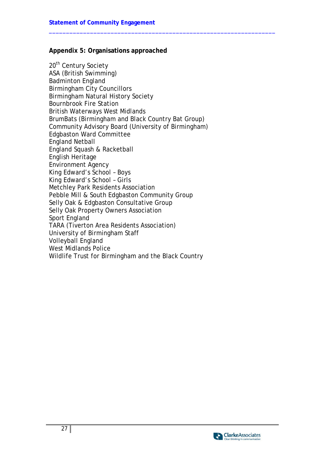# **Appendix 5: Organisations approached**

\_\_\_\_\_\_\_\_\_\_\_\_\_\_\_\_\_\_\_\_\_\_\_\_\_\_\_\_\_\_\_\_\_\_\_\_\_\_\_\_\_\_\_\_\_\_\_\_\_\_\_\_\_\_\_\_\_\_\_\_\_\_\_\_\_\_

20<sup>th</sup> Century Society ASA (British Swimming) Badminton England Birmingham City Councillors Birmingham Natural History Society Bournbrook Fire Station British Waterways West Midlands BrumBats (Birmingham and Black Country Bat Group) Community Advisory Board (University of Birmingham) Edgbaston Ward Committee England Netball England Squash & Racketball English Heritage Environment Agency King Edward's School – Boys King Edward's School – Girls Metchley Park Residents Association Pebble Mill & South Edgbaston Community Group Selly Oak & Edgbaston Consultative Group Selly Oak Property Owners Association Sport England TARA (Tiverton Area Residents Association) University of Birmingham Staff Volleyball England West Midlands Police Wildlife Trust for Birmingham and the Black Country

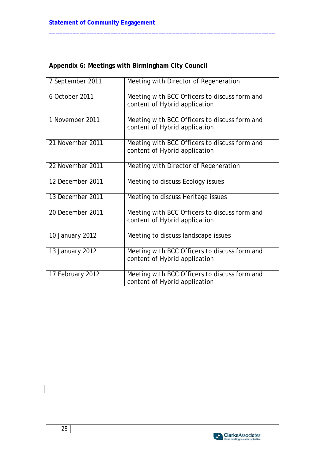# **Appendix 6: Meetings with Birmingham City Council**

| 7 September 2011 | Meeting with Director of Regeneration                                          |
|------------------|--------------------------------------------------------------------------------|
| 6 October 2011   | Meeting with BCC Officers to discuss form and<br>content of Hybrid application |
| 1 November 2011  | Meeting with BCC Officers to discuss form and<br>content of Hybrid application |
| 21 November 2011 | Meeting with BCC Officers to discuss form and<br>content of Hybrid application |
| 22 November 2011 | Meeting with Director of Regeneration                                          |
| 12 December 2011 | Meeting to discuss Ecology issues                                              |
| 13 December 2011 | Meeting to discuss Heritage issues                                             |
| 20 December 2011 | Meeting with BCC Officers to discuss form and<br>content of Hybrid application |
| 10 January 2012  | Meeting to discuss landscape issues                                            |
| 13 January 2012  | Meeting with BCC Officers to discuss form and<br>content of Hybrid application |
| 17 February 2012 | Meeting with BCC Officers to discuss form and<br>content of Hybrid application |